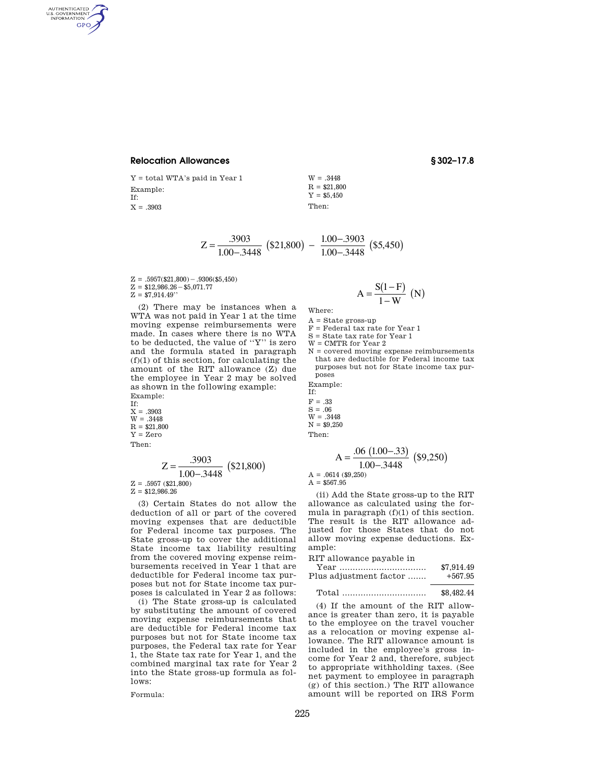## **Relocation Allowances § 302–17.8**

AUTHENTICATED<br>U.S. GOVERNMENT<br>INFORMATION **GPO** 

> Y = total WTA's paid in Year 1 Example: If:  $X = .3903$

$$
W = .3448
$$
  
R = \$21,800  
 $Y = $5,450$   
Then:

$$
Z = \frac{.3903}{1.00 - .3448} \left( \$21,800 \right) - \frac{1.00 - .3903}{1.00 - .3448} \left( \$5,450 \right)
$$

 $Z = .5957({$21,800}) - .9306({$5,450})$  $Z = $12,986.26 - $5,071.77$  $Z = $7,914.49"$ 

(2) There may be instances when a WTA was not paid in Year 1 at the time moving expense reimbursements were made. In cases where there is no WTA to be deducted, the value of ''Y'' is zero and the formula stated in paragraph  $\left(f\right)\left(1\right)$  of this section, for calculating the amount of the RIT allowance (Z) due the employee in Year 2 may be solved as shown in the following example: Example: If:  $X = .3903$ 

 $W = .3448$  $R = $21,800$  $Y = Zero$ Then:

$$
Z = \frac{.3903}{1.00 - .3448} \text{ ($}21,800\text{)}
$$
  
z = .5957 (\$}21,800)

 $Z = $12,986.26$ 

(3) Certain States do not allow the deduction of all or part of the covered moving expenses that are deductible for Federal income tax purposes. The State gross-up to cover the additional State income tax liability resulting from the covered moving expense reimbursements received in Year 1 that are deductible for Federal income tax purposes but not for State income tax purposes is calculated in Year 2 as follows:

(i) The State gross-up is calculated by substituting the amount of covered moving expense reimbursements that are deductible for Federal income tax purposes but not for State income tax purposes, the Federal tax rate for Year 1, the State tax rate for Year 1, and the combined marginal tax rate for Year 2 into the State gross-up formula as follows:

Formula:

$$
A = \frac{S(1 - F)}{1 - W} \quad (N)
$$

Where:

- $A = State gross-up$
- F = Federal tax rate for Year 1

S = State tax rate for Year 1

W = CMTR for Year 2

N = covered moving expense reimbursements that are deductible for Federal income tax purposes but not for State income tax purposes

Example:

If:  $F = .33$  $S = .06$ W = .3448  $N = $9,250$ Then:

$$
A = \frac{.06 (1.00 - .33)}{1.00 - .3448} (\$9,250)
$$
  
A = .0614 (\$9,250)

 $A = $567.95$ 

(ii) Add the State gross-up to the RIT allowance as calculated using the formula in paragraph  $(f)(1)$  of this section. The result is the RIT allowance adjusted for those States that do not allow moving expense deductions. Example:

RIT allowance payable in

Year ................................. \$7,914.49 Plus adjustment factor  $........ \;$ 

Total ................................ \$8,482.44

(4) If the amount of the RIT allowance is greater than zero, it is payable to the employee on the travel voucher as a relocation or moving expense allowance. The RIT allowance amount is included in the employee's gross income for Year 2 and, therefore, subject to appropriate withholding taxes. (See net payment to employee in paragraph (g) of this section.) The RIT allowance amount will be reported on IRS Form